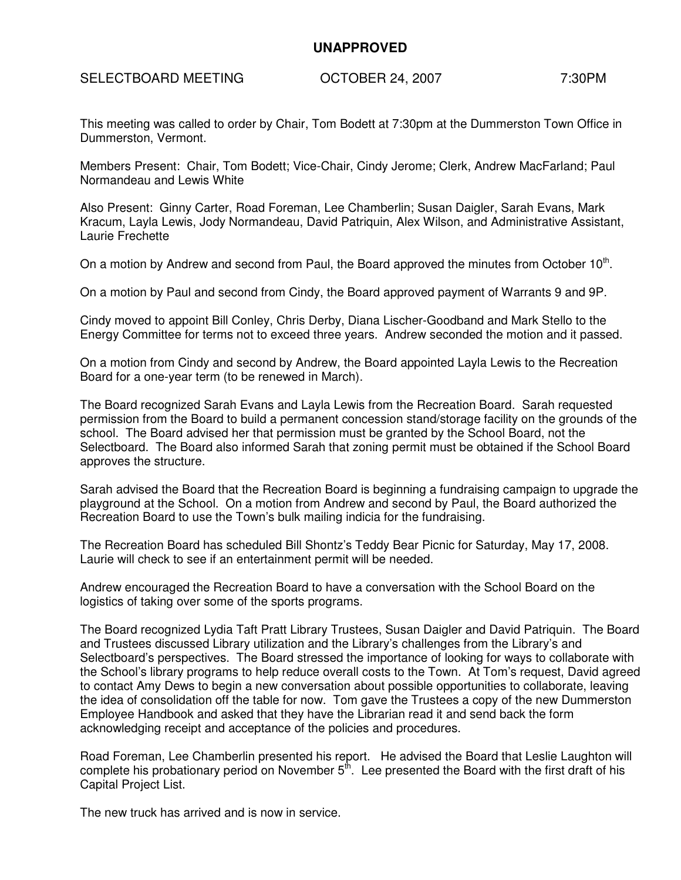## **UNAPPROVED**

SELECTBOARD MEETING COTOBER 24, 2007 7:30PM

This meeting was called to order by Chair, Tom Bodett at 7:30pm at the Dummerston Town Office in Dummerston, Vermont.

Members Present: Chair, Tom Bodett; Vice-Chair, Cindy Jerome; Clerk, Andrew MacFarland; Paul Normandeau and Lewis White

Also Present: Ginny Carter, Road Foreman, Lee Chamberlin; Susan Daigler, Sarah Evans, Mark Kracum, Layla Lewis, Jody Normandeau, David Patriquin, Alex Wilson, and Administrative Assistant, Laurie Frechette

On a motion by Andrew and second from Paul, the Board approved the minutes from October 10<sup>th</sup>.

On a motion by Paul and second from Cindy, the Board approved payment of Warrants 9 and 9P.

Cindy moved to appoint Bill Conley, Chris Derby, Diana Lischer-Goodband and Mark Stello to the Energy Committee for terms not to exceed three years. Andrew seconded the motion and it passed.

On a motion from Cindy and second by Andrew, the Board appointed Layla Lewis to the Recreation Board for a one-year term (to be renewed in March).

The Board recognized Sarah Evans and Layla Lewis from the Recreation Board. Sarah requested permission from the Board to build a permanent concession stand/storage facility on the grounds of the school. The Board advised her that permission must be granted by the School Board, not the Selectboard. The Board also informed Sarah that zoning permit must be obtained if the School Board approves the structure.

Sarah advised the Board that the Recreation Board is beginning a fundraising campaign to upgrade the playground at the School. On a motion from Andrew and second by Paul, the Board authorized the Recreation Board to use the Town's bulk mailing indicia for the fundraising.

The Recreation Board has scheduled Bill Shontz's Teddy Bear Picnic for Saturday, May 17, 2008. Laurie will check to see if an entertainment permit will be needed.

Andrew encouraged the Recreation Board to have a conversation with the School Board on the logistics of taking over some of the sports programs.

The Board recognized Lydia Taft Pratt Library Trustees, Susan Daigler and David Patriquin. The Board and Trustees discussed Library utilization and the Library's challenges from the Library's and Selectboard's perspectives. The Board stressed the importance of looking for ways to collaborate with the School's library programs to help reduce overall costs to the Town. At Tom's request, David agreed to contact Amy Dews to begin a new conversation about possible opportunities to collaborate, leaving the idea of consolidation off the table for now. Tom gave the Trustees a copy of the new Dummerston Employee Handbook and asked that they have the Librarian read it and send back the form acknowledging receipt and acceptance of the policies and procedures.

Road Foreman, Lee Chamberlin presented his report. He advised the Board that Leslie Laughton will complete his probationary period on November  $5<sup>th</sup>$ . Lee presented the Board with the first draft of his Capital Project List.

The new truck has arrived and is now in service.